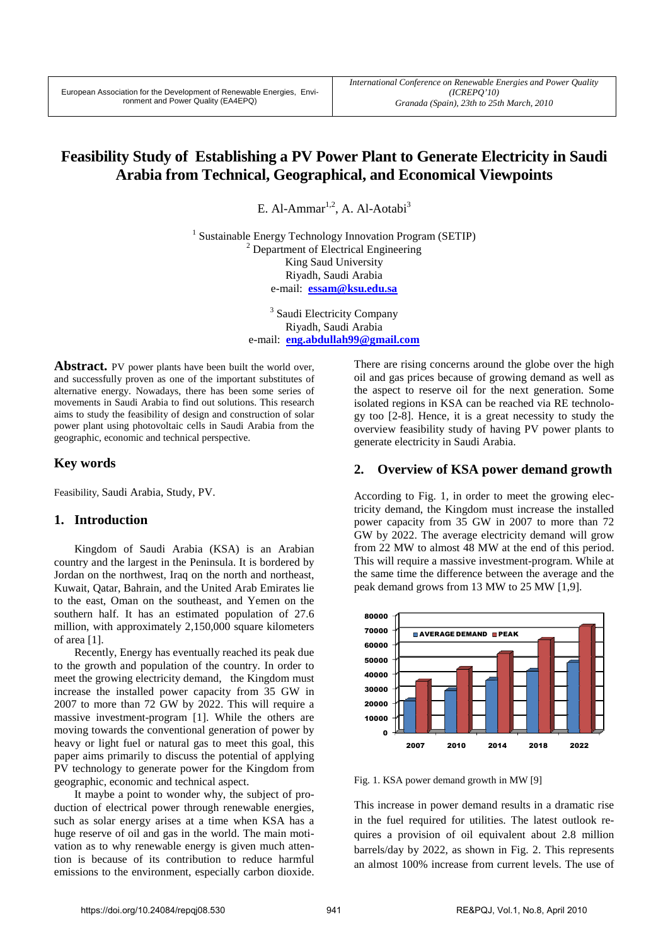# **Feasibility Study of Establishing a PV Power Plant to Generate Electricity in Saudi Arabia from Technical, Geographical, and Economical Viewpoints**

E. Al-Ammar<sup>1,2</sup> A. Al-Aotabi<sup>3</sup>

<sup>1</sup> Sustainable Energy Technology Innovation Program (SETIP) <sup>2</sup> Department of Electrical Engineering King Saud University Riyadh, Saudi Arabia e-mail: **essam@ksu.edu.sa**

> <sup>3</sup> Saudi Electricity Company Riyadh, Saudi Arabia e-mail: **eng.abdullah99@gmail.com**

**Abstract.** PV power plants have been built the world over, and successfully proven as one of the important substitutes of alternative energy. Nowadays, there has been some series of movements in Saudi Arabia to find out solutions. This research aims to study the feasibility of design and construction of solar power plant using photovoltaic cells in Saudi Arabia from the geographic, economic and technical perspective.

# **Key words**

Feasibility, Saudi Arabia, Study, PV.

# **1. Introduction**

Kingdom of Saudi Arabia (KSA) is an Arabian country and the largest in the Peninsula. It is bordered by Jordan on the northwest, Iraq on the north and northeast, Kuwait, Qatar, Bahrain, and the United Arab Emirates lie to the east, Oman on the southeast, and Yemen on the southern half. It has an estimated population of 27.6 million, with approximately 2,150,000 square kilometers of area [1].

Recently, Energy has eventually reached its peak due to the growth and population of the country. In order to meet the growing electricity demand, the Kingdom must increase the installed power capacity from 35 GW in 2007 to more than 72 GW by 2022. This will require a massive investment-program [1]. While the others are moving towards the conventional generation of power by heavy or light fuel or natural gas to meet this goal, this paper aims primarily to discuss the potential of applying PV technology to generate power for the Kingdom from geographic, economic and technical aspect.

It maybe a point to wonder why, the subject of production of electrical power through renewable energies, such as solar energy arises at a time when KSA has a huge reserve of oil and gas in the world. The main motivation as to why renewable energy is given much attention is because of its contribution to reduce harmful emissions to the environment, especially carbon dioxide.

There are rising concerns around the globe over the high oil and gas prices because of growing demand as well as the aspect to reserve oil for the next generation. Some isolated regions in KSA can be reached via RE technology too [2-8]. Hence, it is a great necessity to study the overview feasibility study of having PV power plants to generate electricity in Saudi Arabia.

# **2. Overview of KSA power demand growth**

According to Fig. 1, in order to meet the growing electricity demand, the Kingdom must increase the installed power capacity from 35 GW in 2007 to more than 72 GW by 2022. The average electricity demand will grow from 22 MW to almost 48 MW at the end of this period. This will require a massive investment-program. While at the same time the difference between the average and the peak demand grows from 13 MW to 25 MW [1,9].



Fig. 1. KSA power demand growth in MW [9]

This increase in power demand results in a dramatic rise in the fuel required for utilities. The latest outlook requires a provision of oil equivalent about 2.8 million barrels/day by 2022, as shown in Fig. 2. This represents an almost 100% increase from current levels. The use of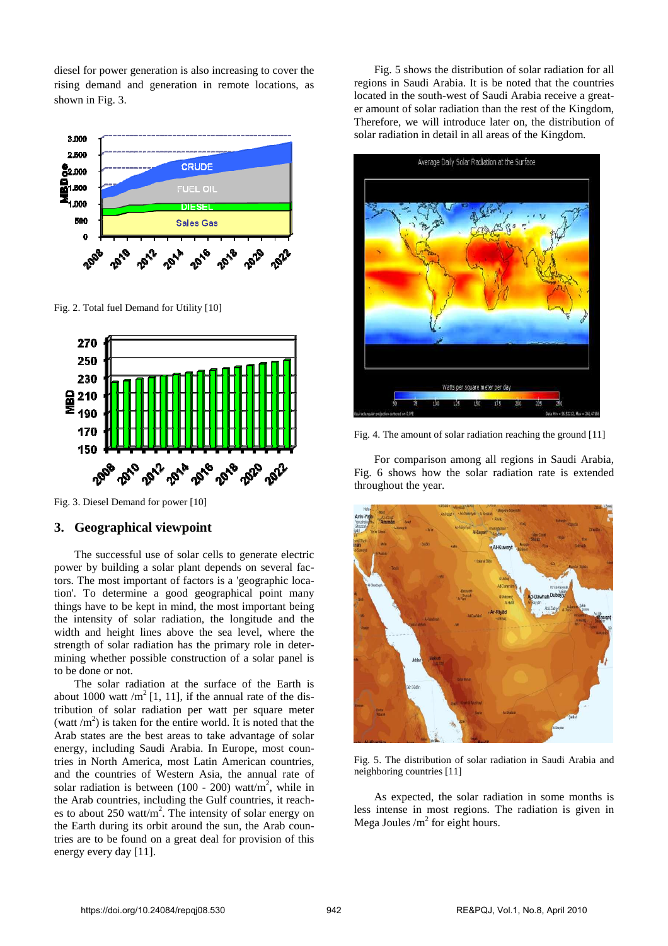diesel for power generation is also increasing to cover the rising demand and generation in remote locations, as shown in Fig. 3.



Fig. 2. Total fuel Demand for Utility [10]



Fig. 3. Diesel Demand for power [10]

#### **3. Geographical viewpoint**

The successful use of solar cells to generate electric power by building a solar plant depends on several factors. The most important of factors is a 'geographic location'. To determine a good geographical point many things have to be kept in mind, the most important being the intensity of solar radiation, the longitude and the width and height lines above the sea level, where the strength of solar radiation has the primary role in determining whether possible construction of a solar panel is to be done or not.

The solar radiation at the surface of the Earth is about 1000 watt / $m^2$  [1, 11], if the annual rate of the distribution of solar radiation per watt per square meter (watt  $/m<sup>2</sup>$ ) is taken for the entire world. It is noted that the Arab states are the best areas to take advantage of solar energy, including Saudi Arabia. In Europe, most countries in North America, most Latin American countries, and the countries of Western Asia, the annual rate of solar radiation is between  $(100 - 200)$  watt/m<sup>2</sup>, while in the Arab countries, including the Gulf countries, it reaches to about  $250 \text{ watt/m}^2$ . The intensity of solar energy on the Earth during its orbit around the sun, the Arab countries are to be found on a great deal for provision of this energy every day [11].

Fig. 5 shows the distribution of solar radiation for all regions in Saudi Arabia. It is be noted that the countries located in the south-west of Saudi Arabia receive a greater amount of solar radiation than the rest of the Kingdom, Therefore, we will introduce later on, the distribution of solar radiation in detail in all areas of the Kingdom.



Fig. 4. The amount of solar radiation reaching the ground [11]

For comparison among all regions in Saudi Arabia, Fig. 6 shows how the solar radiation rate is extended throughout the year.



Fig. 5. The distribution of solar radiation in Saudi Arabia and neighboring countries [11]

As expected, the solar radiation in some months is less intense in most regions. The radiation is given in Mega Joules  $/m^2$  for eight hours.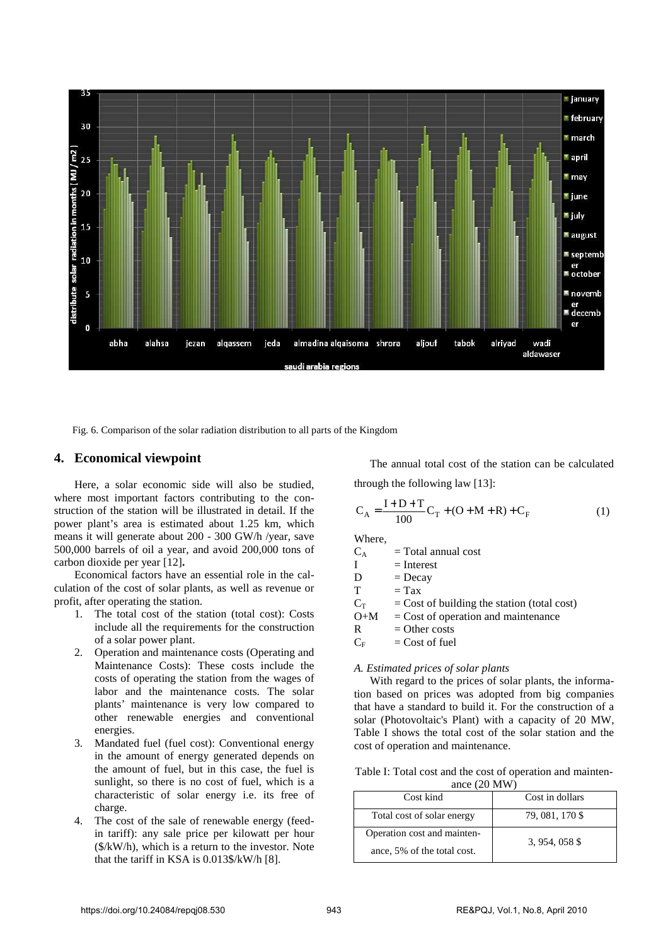

Fig. 6. Comparison of the solar radiation distribution to all parts of the Kingdom

### **4. Economical viewpoint**

Here, a solar economic side will also be studied, where most important factors contributing to the construction of the station will be illustrated in detail. If the power plant's area is estimated about 1.25 km, which means it will generate about 200 - 300 GW/h /year, save 500,000 barrels of oil a year, and avoid 200,000 tons of carbon dioxide per year [12]**.** 

Economical factors have an essential role in the calculation of the cost of solar plants, as well as revenue or profit, after operating the station.

- 1. The total cost of the station (total cost): Costs include all the requirements for the construction of a solar power plant.
- 2. Operation and maintenance costs (Operating and Maintenance Costs): These costs include the costs of operating the station from the wages of labor and the maintenance costs. The solar plants' maintenance is very low compared to other renewable energies and conventional energies.
- 3. Mandated fuel (fuel cost): Conventional energy in the amount of energy generated depends on the amount of fuel, but in this case, the fuel is sunlight, so there is no cost of fuel, which is a characteristic of solar energy i.e. its free of charge.
- 4. The cost of the sale of renewable energy (feedin tariff): any sale price per kilowatt per hour (\$/kW/h), which is a return to the investor. Note that the tariff in KSA is 0.013\$/kW/h [8].

The annual total cost of the station can be calculated through the following law [13]:

$$
C_A = \frac{I + D + T}{100}C_T + (O + M + R) + C_F
$$
 (1)

Where,

 $C_A$  = Total annual cost

 $I = Interest$ 

 $D = Decav$ 

$$
T = Tax
$$

 $C_T$  = Cost of building the station (total cost)

 $O+M = Cost of operation and maintenance$ 

 $R =$ Other costs

 $C_F$  = Cost of fuel

#### *A. Estimated prices of solar plants*

With regard to the prices of solar plants, the information based on prices was adopted from big companies that have a standard to build it. For the construction of a solar (Photovoltaic's Plant) with a capacity of 20 MW, Table I shows the total cost of the solar station and the cost of operation and maintenance.

| Table I: Total cost and the cost of operation and mainten- |
|------------------------------------------------------------|
| ance $(20 \text{ MW})$                                     |

| Cost kind                   | Cost in dollars |  |
|-----------------------------|-----------------|--|
| Total cost of solar energy  | 79, 081, 170 \$ |  |
| Operation cost and mainten- | 3, 954, 058 \$  |  |
| ance, 5% of the total cost. |                 |  |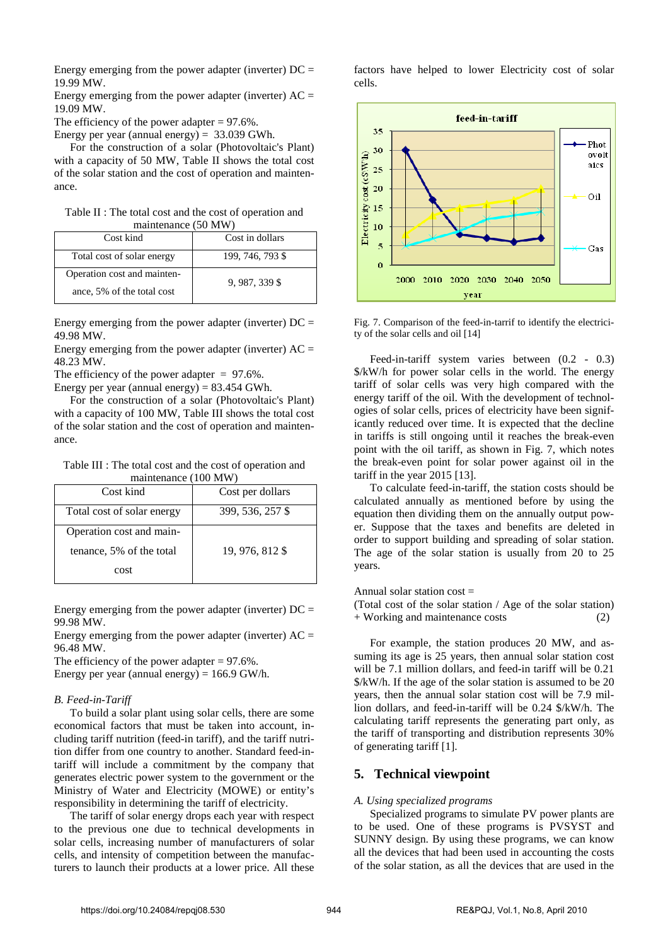Energy emerging from the power adapter (inverter)  $DC =$ 19.99 MW.

Energy emerging from the power adapter (inverter)  $AC =$ 19.09 MW.

The efficiency of the power adapter  $= 97.6\%$ .

Energy per year (annual energy) = 33.039 GWh.

For the construction of a solar (Photovoltaic's Plant) with a capacity of 50 MW, Table II shows the total cost of the solar station and the cost of operation and maintenance.

Table II : The total cost and the cost of operation and maintenance (50 MW)

| Cost kind                   | Cost in dollars  |
|-----------------------------|------------------|
| Total cost of solar energy  | 199, 746, 793 \$ |
| Operation cost and mainten- | 9, 987, 339 \$   |
| ance, 5% of the total cost  |                  |

Energy emerging from the power adapter (inverter)  $DC =$ 49.98 MW.

Energy emerging from the power adapter (inverter)  $AC =$ 48.23 MW.

The efficiency of the power adapter  $= 97.6\%$ .

Energy per year (annual energy) =  $83.454$  GWh.

For the construction of a solar (Photovoltaic's Plant) with a capacity of 100 MW, Table III shows the total cost of the solar station and the cost of operation and maintenance.

Table III : The total cost and the cost of operation and maintenance (100 MW)

| Cost kind                  | Cost per dollars |
|----------------------------|------------------|
| Total cost of solar energy | 399, 536, 257 \$ |
| Operation cost and main-   |                  |
| tenance, 5% of the total   | 19, 976, 812 \$  |
| cost                       |                  |

Energy emerging from the power adapter (inverter)  $DC =$ 99.98 MW.

Energy emerging from the power adapter (inverter)  $AC =$ 96.48 MW.

The efficiency of the power adapter  $= 97.6\%$ . Energy per year (annual energy) =  $166.9$  GW/h.

#### *B. Feed-in-Tariff*

To build a solar plant using solar cells, there are some economical factors that must be taken into account, including tariff nutrition (feed-in tariff), and the tariff nutrition differ from one country to another. Standard feed-intariff will include a commitment by the company that generates electric power system to the government or the Ministry of Water and Electricity (MOWE) or entity's responsibility in determining the tariff of electricity.

The tariff of solar energy drops each year with respect to the previous one due to technical developments in solar cells, increasing number of manufacturers of solar cells, and intensity of competition between the manufacturers to launch their products at a lower price. All these factors have helped to lower Electricity cost of solar cells.



Fig. 7. Comparison of the feed-in-tarrif to identify the electricity of the solar cells and oil [14]

Feed-in-tariff system varies between (0.2 - 0.3) \$/kW/h for power solar cells in the world. The energy tariff of solar cells was very high compared with the energy tariff of the oil. With the development of technologies of solar cells, prices of electricity have been significantly reduced over time. It is expected that the decline in tariffs is still ongoing until it reaches the break-even point with the oil tariff, as shown in Fig. 7, which notes the break-even point for solar power against oil in the tariff in the year 2015 [13].

To calculate feed-in-tariff, the station costs should be calculated annually as mentioned before by using the equation then dividing them on the annually output power. Suppose that the taxes and benefits are deleted in order to support building and spreading of solar station. The age of the solar station is usually from 20 to 25 years.

Annual solar station  $cost =$ 

(Total cost of the solar station / Age of the solar station) + Working and maintenance costs (2)

For example, the station produces 20 MW, and assuming its age is 25 years, then annual solar station cost will be 7.1 million dollars, and feed-in tariff will be 0.21 \$/kW/h. If the age of the solar station is assumed to be 20 years, then the annual solar station cost will be 7.9 million dollars, and feed-in-tariff will be 0.24 \$/kW/h. The calculating tariff represents the generating part only, as the tariff of transporting and distribution represents 30% of generating tariff [1].

# **5. Technical viewpoint**

#### *A. Using specialized programs*

Specialized programs to simulate PV power plants are to be used. One of these programs is PVSYST and SUNNY design. By using these programs, we can know all the devices that had been used in accounting the costs of the solar station, as all the devices that are used in the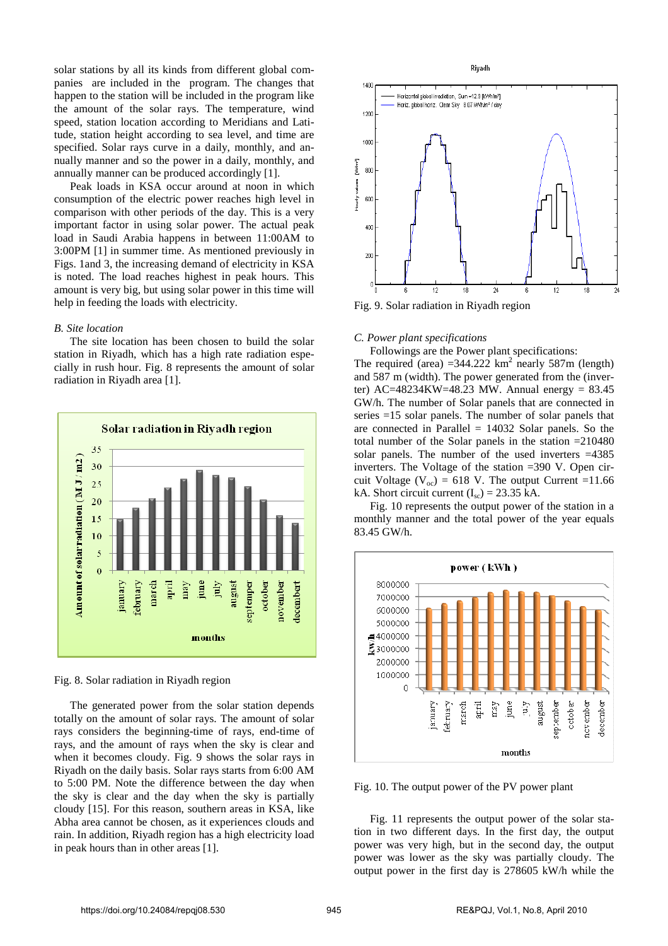solar stations by all its kinds from different global companies are included in the program. The changes that happen to the station will be included in the program like the amount of the solar rays. The temperature, wind speed, station location according to Meridians and Latitude, station height according to sea level, and time are specified. Solar rays curve in a daily, monthly, and annually manner and so the power in a daily, monthly, and annually manner can be produced accordingly [1].

Peak loads in KSA occur around at noon in which consumption of the electric power reaches high level in comparison with other periods of the day. This is a very important factor in using solar power. The actual peak load in Saudi Arabia happens in between 11:00AM to 3:00PM [1] in summer time. As mentioned previously in Figs. 1and 3, the increasing demand of electricity in KSA is noted. The load reaches highest in peak hours. This amount is very big, but using solar power in this time will help in feeding the loads with electricity.

#### *B. Site location*

The site location has been chosen to build the solar station in Riyadh, which has a high rate radiation especially in rush hour. Fig. 8 represents the amount of solar radiation in Riyadh area [1].



Fig. 8. Solar radiation in Riyadh region

The generated power from the solar station depends totally on the amount of solar rays. The amount of solar rays considers the beginning-time of rays, end-time of rays, and the amount of rays when the sky is clear and when it becomes cloudy. Fig. 9 shows the solar rays in Riyadh on the daily basis. Solar rays starts from 6:00 AM to 5:00 PM. Note the difference between the day when the sky is clear and the day when the sky is partially cloudy [15]. For this reason, southern areas in KSA, like Abha area cannot be chosen, as it experiences clouds and rain. In addition, Riyadh region has a high electricity load in peak hours than in other areas [1].



Fig. 9. Solar radiation in Riyadh region

#### *C. Power plant specifications*

Followings are the Power plant specifications:

The required (area)  $=344.222$  km<sup>2</sup> nearly 587m (length) and 587 m (width). The power generated from the (inverter)  $AC = 48234KW = 48.23$  MW. Annual energy = 83.45 GW/h. The number of Solar panels that are connected in series =15 solar panels. The number of solar panels that are connected in Parallel  $= 14032$  Solar panels. So the total number of the Solar panels in the station  $=210480$ solar panels. The number of the used inverters =4385 inverters. The Voltage of the station =390 V. Open circuit Voltage ( $V_{oc}$ ) = 618 V. The output Current =11.66 kA. Short circuit current  $(I<sub>sc</sub>) = 23.35$  kA.

Fig. 10 represents the output power of the station in a monthly manner and the total power of the year equals 83.45 GW/h.



Fig. 10. The output power of the PV power plant

Fig. 11 represents the output power of the solar station in two different days. In the first day, the output power was very high, but in the second day, the output power was lower as the sky was partially cloudy. The output power in the first day is 278605 kW/h while the